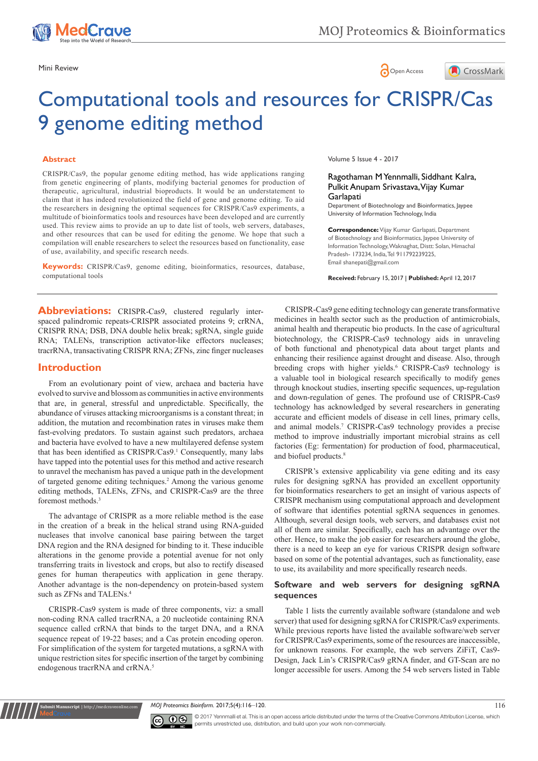

## Mini Review **Open Access**



# Computational tools and resources for CRISPR/Cas 9 genome editing method

#### **Abstract**

CRISPR/Cas9, the popular genome editing method, has wide applications ranging from genetic engineering of plants, modifying bacterial genomes for production of therapeutic, agricultural, industrial bioproducts. It would be an understatement to claim that it has indeed revolutionized the field of gene and genome editing. To aid the researchers in designing the optimal sequences for CRISPR/Cas9 experiments, a multitude of bioinformatics tools and resources have been developed and are currently used. This review aims to provide an up to date list of tools, web servers, databases, and other resources that can be used for editing the genome. We hope that such a compilation will enable researchers to select the resources based on functionality, ease of use, availability, and specific research needs.

**Keywords:** CRISPR/Cas9, genome editing, bioinformatics, resources, database, computational tools

Volume 5 Issue 4 - 2017

#### Ragothaman M Yennmalli, Siddhant Kalra, Pulkit Anupam Srivastava, Vijay Kumar **Garlapati**

Department of Biotechnology and Bioinformatics, Jaypee University of Information Technology, India

**Correspondence:** Vijay Kumar Garlapati, Department of Biotechnology and Bioinformatics, Jaypee University of Information Technology, Waknaghat, Distt: Solan, Himachal Pradesh- 173234, India, Tel 911792239225, Email shanepati@gmail.com

**Received:** February 15, 2017 | **Published:** April 12, 2017

**Abbreviations:** CRISPR-Cas9, clustered regularly interspaced palindromic repeats-CRISPR associated proteins 9; crRNA, CRISPR RNA; DSB, DNA double helix break; sgRNA, single guide RNA; TALENs, transcription activator-like effectors nucleases; tracrRNA, transactivating CRISPR RNA; ZFNs, zinc finger nucleases

## **Introduction**

From an evolutionary point of view, archaea and bacteria have evolved to survive and blossom as communities in active environments that are, in general, stressful and unpredictable. Specifically, the abundance of viruses attacking microorganisms is a constant threat; in addition, the mutation and recombination rates in viruses make them fast-evolving predators. To sustain against such predators, archaea and bacteria have evolved to have a new multilayered defense system that has been identified as CRISPR/Cas9.<sup>1</sup> Consequently, many labs have tapped into the potential uses for this method and active research to unravel the mechanism has paved a unique path in the development of targeted genome editing techniques.<sup>2</sup> Among the various genome editing methods, TALENs, ZFNs, and CRISPR-Cas9 are the three foremost methods.<sup>3</sup>

The advantage of CRISPR as a more reliable method is the ease in the creation of a break in the helical strand using RNA-guided nucleases that involve canonical base pairing between the target DNA region and the RNA designed for binding to it. These inducible alterations in the genome provide a potential avenue for not only transferring traits in livestock and crops, but also to rectify diseased genes for human therapeutics with application in gene therapy. Another advantage is the non-dependency on protein-based system such as ZFNs and TALENs.<sup>4</sup>

CRISPR-Cas9 system is made of three components, viz: a small non-coding RNA called tracrRNA, a 20 nucleotide containing RNA sequence called crRNA that binds to the target DNA, and a RNA sequence repeat of 19-22 bases; and a Cas protein encoding operon. For simplification of the system for targeted mutations, a sgRNA with unique restriction sites for specific insertion of the target by combining endogenous tracrRNA and crRNA.<sup>5</sup>

**Sit Manuscript** | http://medcraveonline.

CRISPR-Cas9 gene editing technology can generate transformative medicines in health sector such as the production of antimicrobials, animal health and therapeutic bio products. In the case of agricultural biotechnology, the CRISPR-Cas9 technology aids in unraveling of both functional and phenotypical data about target plants and enhancing their resilience against drought and disease. Also, through breeding crops with higher yields.<sup>6</sup> CRISPR-Cas9 technology is a valuable tool in biological research specifically to modify genes through knockout studies, inserting specific sequences, up-regulation and down-regulation of genes. The profound use of CRISPR-Cas9 technology has acknowledged by several researchers in generating accurate and efficient models of disease in cell lines, primary cells, and animal models.7 CRISPR-Cas9 technology provides a precise method to improve industrially important microbial strains as cell factories (Eg: fermentation) for production of food, pharmaceutical, and biofuel products.<sup>8</sup>

CRISPR's extensive applicability via gene editing and its easy rules for designing sgRNA has provided an excellent opportunity for bioinformatics researchers to get an insight of various aspects of CRISPR mechanism using computational approach and development of software that identifies potential sgRNA sequences in genomes. Although, several design tools, web servers, and databases exist not all of them are similar. Specifically, each has an advantage over the other. Hence, to make the job easier for researchers around the globe, there is a need to keep an eye for various CRISPR design software based on some of the potential advantages, such as functionality, ease to use, its availability and more specifically research needs.

## **Software and web servers for designing sgRNA sequences**

Table 1 lists the currently available software (standalone and web server) that used for designing sgRNA for CRISPR/Cas9 experiments. While previous reports have listed the available software/web server for CRISPR/Cas9 experiments, some of the resources are inaccessible, for unknown reasons. For example, the web servers ZiFiT, Cas9- Design, Jack Lin's CRISPR/Cas9 gRNA finder, and GT-Scan are no longer accessible for users. Among the 54 web servers listed in Table

*MOJ Proteomics Bioinform.* 2017;5(4):116–120. 116



© 2017 Yennmalli et al. This is an open access article distributed under the terms of the [Creative Commons Attribution License,](https://creativecommons.org/licenses/by-nc/4.0/) which permits unrestricted use, distribution, and build upon your work non-commercially.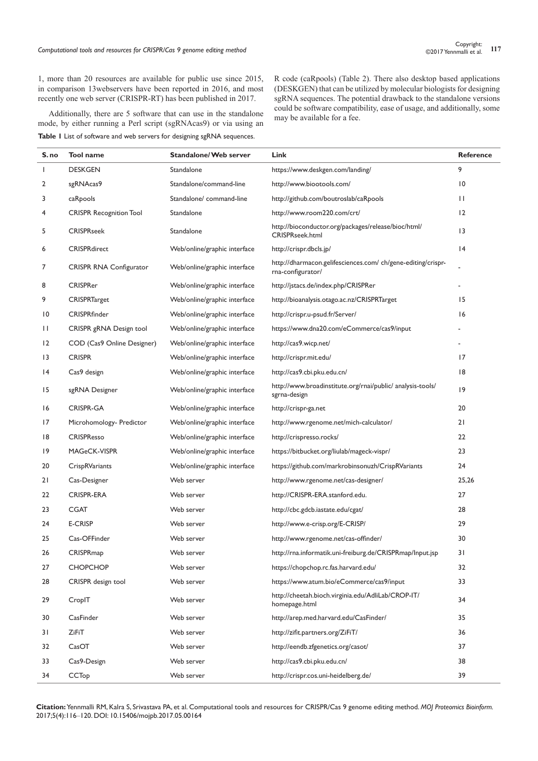1, more than 20 resources are available for public use since 2015, in comparison 13webservers have been reported in 2016, and most recently one web server (CRISPR-RT) has been published in 2017.

Additionally, there are 5 software that can use in the standalone mode, by either running a Perl script (sgRNAcas9) or via using an **Table 1** List of software and web servers for designing sgRNA sequences.

R code (caRpools) (Table 2). There also desktop based applications (DESKGEN) that can be utilized by molecular biologists for designing sgRNA sequences. The potential drawback to the standalone versions could be software compatibility, ease of usage, and additionally, some may be available for a fee.

| S. no | Tool name                      | <b>Standalone/ Web server</b> | Link                                                                             | Reference       |
|-------|--------------------------------|-------------------------------|----------------------------------------------------------------------------------|-----------------|
| L     | <b>DESKGEN</b>                 | Standalone                    | https://www.deskgen.com/landing/                                                 | 9               |
| 2     | sgRNAcas9                      | Standalone/command-line       | http://www.biootools.com/                                                        | 10              |
| 3     | caRpools                       | Standalone/ command-line      | http://github.com/boutroslab/caRpools                                            | $\mathbf{H}$    |
| 4     | <b>CRISPR Recognition Tool</b> | Standalone                    | http://www.room220.com/crt/                                                      | 12              |
| 5     | <b>CRISPRseek</b>              | Standalone                    | http://bioconductor.org/packages/release/bioc/html/<br>CRISPRseek.html           | $\overline{13}$ |
| 6     | <b>CRISPRdirect</b>            | Web/online/graphic interface  | http://crispr.dbcls.jp/                                                          | 4               |
| 7     | <b>CRISPR RNA Configurator</b> | Web/online/graphic interface  | http://dharmacon.gelifesciences.com/ch/gene-editing/crispr-<br>rna-configurator/ |                 |
| 8     | <b>CRISPRer</b>                | Web/online/graphic interface  | http://jstacs.de/index.php/CRISPRer                                              |                 |
| 9     | <b>CRISPRTarget</b>            | Web/online/graphic interface  | http://bioanalysis.otago.ac.nz/CRISPRTarget                                      | 15              |
| 10    | CRISPRfinder                   | Web/online/graphic interface  | http://crispr.u-psud.fr/Server/                                                  | 16              |
| П     | CRISPR gRNA Design tool        | Web/online/graphic interface  | https://www.dna20.com/eCommerce/cas9/input                                       |                 |
| 12    | COD (Cas9 Online Designer)     | Web/online/graphic interface  | http://cas9.wicp.net/                                                            |                 |
| 13    | <b>CRISPR</b>                  | Web/online/graphic interface  | http://crispr.mit.edu/                                                           | 17              |
| 4     | Cas9 design                    | Web/online/graphic interface  | http://cas9.cbi.pku.edu.cn/                                                      | 18              |
| 15    | sgRNA Designer                 | Web/online/graphic interface  | http://www.broadinstitute.org/rnai/public/ analysis-tools/<br>sgrna-design       | 9               |
| 16    | <b>CRISPR-GA</b>               | Web/online/graphic interface  | http://crispr-ga.net                                                             | 20              |
| 17    | Microhomology- Predictor       | Web/online/graphic interface  | http://www.rgenome.net/mich-calculator/                                          | 21              |
| 18    | <b>CRISPResso</b>              | Web/online/graphic interface  | http://crispresso.rocks/                                                         | 22              |
| 19    | MAGeCK-VISPR                   | Web/online/graphic interface  | https://bitbucket.org/liulab/mageck-vispr/                                       | 23              |
| 20    | CrispRVariants                 | Web/online/graphic interface  | https://github.com/markrobinsonuzh/CrispRVariants                                | 24              |
| 21    | Cas-Designer                   | Web server                    | http://www.rgenome.net/cas-designer/                                             | 25,26           |
| 22    | <b>CRISPR-ERA</b>              | Web server                    | http://CRISPR-ERA.stanford.edu.                                                  | 27              |
| 23    | <b>CGAT</b>                    | Web server                    | http://cbc.gdcb.iastate.edu/cgat/                                                | 28              |
| 24    | <b>E-CRISP</b>                 | Web server                    | http://www.e-crisp.org/E-CRISP/                                                  | 29              |
| 25    | Cas-OFFinder                   | Web server                    | http://www.rgenome.net/cas-offinder/                                             | 30              |
| 26    | CRISPRmap                      | Web server                    | http://rna.informatik.uni-freiburg.de/CRISPRmap/Input.jsp                        | 31              |
| 27    | <b>CHOPCHOP</b>                | Web server                    | https://chopchop.rc.fas.harvard.edu/                                             | 32              |
| 28    | CRISPR design tool             | Web server                    | https://www.atum.bio/eCommerce/cas9/input                                        | 33              |
| 29    | CropIT                         | Web server                    | http://cheetah.bioch.virginia.edu/AdliLab/CROP-IT/<br>homepage.html              | 34              |
| 30    | CasFinder                      | Web server                    | http://arep.med.harvard.edu/CasFinder/                                           | 35              |
| 31    | ZiFiT                          | Web server                    | http://zifit.partners.org/ZiFiT/                                                 | 36              |
| 32    | CasOT                          | Web server                    | http://eendb.zfgenetics.org/casot/                                               | 37              |
| 33    | Cas9-Design                    | Web server                    | http://cas9.cbi.pku.edu.cn/                                                      | 38              |
| 34    | CCTop                          | Web server                    | http://crispr.cos.uni-heidelberg.de/                                             | 39              |

**Citation:** Yennmalli RM, Kalra S, Srivastava PA, et al. Computational tools and resources for CRISPR/Cas 9 genome editing method. *MOJ Proteomics Bioinform.* 2017;5(4):116‒120. DOI: [10.15406/mojpb.2017.05.00164](https://doi.org/10.15406/mojpb.2017.05.00164)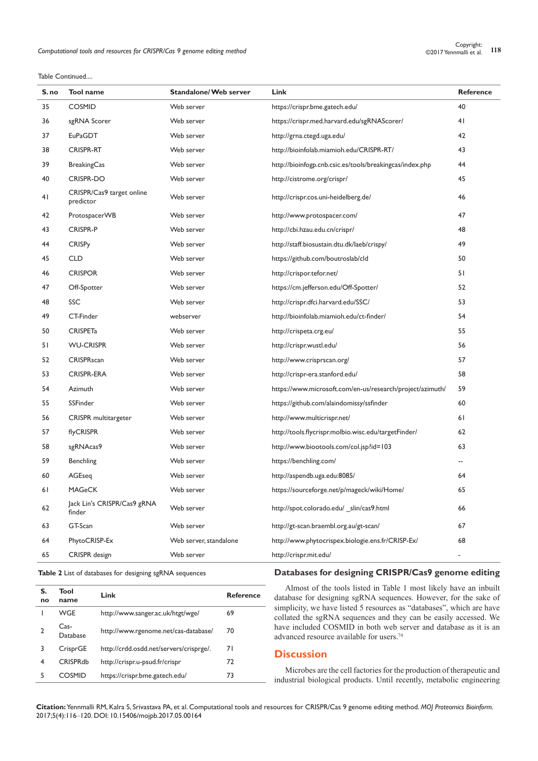Table Continued....

| S.no | Tool name                              | <b>Standalone/Web server</b> | Link                                                      | Reference                |
|------|----------------------------------------|------------------------------|-----------------------------------------------------------|--------------------------|
| 35   | <b>COSMID</b>                          | Web server                   | https://crispr.bme.gatech.edu/                            | 40                       |
| 36   | sgRNA Scorer                           | Web server                   | https://crispr.med.harvard.edu/sgRNAScorer/               | 41                       |
| 37   | EuPaGDT                                | Web server                   | http://grna.ctegd.uga.edu/                                | 42                       |
| 38   | CRISPR-RT                              | Web server                   | http://bioinfolab.miamioh.edu/CRISPR-RT/                  | 43                       |
| 39   | <b>BreakingCas</b>                     | Web server                   | http://bioinfogp.cnb.csic.es/tools/breakingcas/index.php  | 44                       |
| 40   | CRISPR-DO                              | Web server                   | http://cistrome.org/crispr/                               | 45                       |
| 41   | CRISPR/Cas9 target online<br>predictor | Web server                   | http://crispr.cos.uni-heidelberg.de/                      | 46                       |
| 42   | ProtospacerWB                          | Web server                   | http://www.protospacer.com/                               | 47                       |
| 43   | <b>CRISPR-P</b>                        | Web server                   | http://cbi.hzau.edu.cn/crispr/                            | 48                       |
| 44   | <b>CRISPy</b>                          | Web server                   | http://staff.biosustain.dtu.dk/laeb/crispy/               | 49                       |
| 45   | <b>CLD</b>                             | Web server                   | https://github.com/boutroslab/cld                         | 50                       |
| 46   | <b>CRISPOR</b>                         | Web server                   | http://crispor.tefor.net/                                 | 51                       |
| 47   | Off-Spotter                            | Web server                   | https://cm.jefferson.edu/Off-Spotter/                     | 52                       |
| 48   | SSC                                    | Web server                   | http://crispr.dfci.harvard.edu/SSC/                       | 53                       |
| 49   | CT-Finder                              | webserver                    | http://bioinfolab.miamioh.edu/ct-finder/                  | 54                       |
| 50   | <b>CRISPETa</b>                        | Web server                   | http://crispeta.crg.eu/                                   | 55                       |
| 51   | <b>WU-CRISPR</b>                       | Web server                   | http://crispr.wustl.edu/                                  | 56                       |
| 52   | <b>CRISPRscan</b>                      | Web server                   | http://www.crisprscan.org/                                | 57                       |
| 53   | <b>CRISPR-ERA</b>                      | Web server                   | http://crispr-era.stanford.edu/                           | 58                       |
| 54   | Azimuth                                | Web server                   | https://www.microsoft.com/en-us/research/project/azimuth/ | 59                       |
| 55   | SSFinder                               | Web server                   | https://github.com/alaindomissy/ssfinder                  | 60                       |
| 56   | CRISPR multitargeter                   | Web server                   | http://www.multicrispr.net/                               | 61                       |
| 57   | flyCRISPR                              | Web server                   | http://tools.flycrispr.molbio.wisc.edu/targetFinder/      | 62                       |
| 58   | sgRNAcas9                              | Web server                   | http://www.biootools.com/col.jsp?id=103                   | 63                       |
| 59   | Benchling                              | Web server                   | https://benchling.com/                                    | $\overline{\phantom{a}}$ |
| 60   | AGEseg                                 | Web server                   | http://aspendb.uga.edu:8085/                              | 64                       |
| 61   | <b>MAGeCK</b>                          | Web server                   | https://sourceforge.net/p/mageck/wiki/Home/               | 65                       |
| 62   | Jack Lin's CRISPR/Cas9 gRNA<br>finder  | Web server                   | http://spot.colorado.edu/ slin/cas9.html                  | 66                       |
| 63   | GT-Scan                                | Web server                   | http://gt-scan.braembl.org.au/gt-scan/                    | 67                       |
| 64   | PhytoCRISP-Ex                          | Web server, standalone       | http://www.phytocrispex.biologie.ens.fr/CRISP-Ex/         | 68                       |
| 65   | CRISPR design                          | Web server                   | http://crispr.mit.edu/                                    |                          |

#### **Table 2** List of databases for designing sgRNA sequences

| S.<br>no | Tool<br>name     | Link                                    | <b>Reference</b> |
|----------|------------------|-----------------------------------------|------------------|
|          | WGE              | http://www.sanger.ac.uk/htgt/wge/       | 69               |
|          | Cas-<br>Database | http://www.rgenome.net/cas-database/    | 70               |
| 3        | CrisprGE         | http://crdd.osdd.net/servers/crisprge/. | 71               |
| 4        | <b>CRISPRdb</b>  | http://crispr.u-psud.fr/crispr          | 72               |
| 5        | COSMID           | https://crispr.bme.gatech.edu/          | 73               |

#### **Databases for designing CRISPR/Cas9 genome editing**

Almost of the tools listed in Table 1 most likely have an inbuilt database for designing sgRNA sequences. However, for the sake of simplicity, we have listed 5 resources as "databases", which are have collated the sgRNA sequences and they can be easily accessed. We have included COSMID in both web server and database as it is an advanced resource available for users.<sup>74</sup>

## **Discussion**

Microbes are the cell factories for the production of therapeutic and industrial biological products. Until recently, metabolic engineering

**Citation:** Yennmalli RM, Kalra S, Srivastava PA, et al. Computational tools and resources for CRISPR/Cas 9 genome editing method. *MOJ Proteomics Bioinform.* 2017;5(4):116‒120. DOI: [10.15406/mojpb.2017.05.00164](https://doi.org/10.15406/mojpb.2017.05.00164)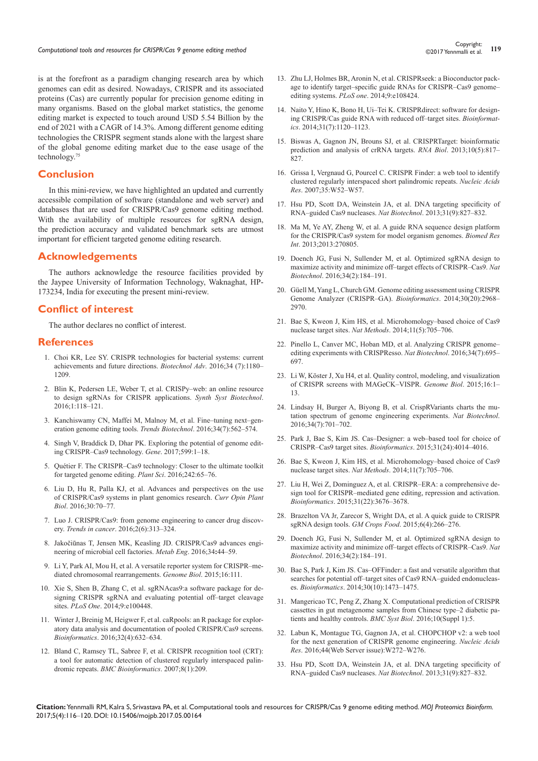is at the forefront as a paradigm changing research area by which genomes can edit as desired. Nowadays, CRISPR and its associated proteins (Cas) are currently popular for precision genome editing in many organisms. Based on the global market statistics, the genome editing market is expected to touch around USD 5.54 Billion by the end of 2021 with a CAGR of 14.3%. Among different genome editing technologies the CRISPR segment stands alone with the largest share of the global genome editing market due to the ease usage of the technology.75

## **Conclusion**

In this mini-review, we have highlighted an updated and currently accessible compilation of software (standalone and web server) and databases that are used for CRISPR/Cas9 genome editing method. With the availability of multiple resources for sgRNA design, the prediction accuracy and validated benchmark sets are utmost important for efficient targeted genome editing research.

## **Acknowledgements**

The authors acknowledge the resource facilities provided by the Jaypee University of Information Technology, Waknaghat, HP-173234, India for executing the present mini-review.

## **Conflict of interest**

The author declares no conflict of interest.

#### **References**

- 1. [Choi KR, Lee SY. CRISPR technologies for bacterial systems: current](https://www.ncbi.nlm.nih.gov/pubmed/27566508)  [achievements and future directions.](https://www.ncbi.nlm.nih.gov/pubmed/27566508) *Biotechnol Adv*. 2016;34 (7):1180– [1209.](https://www.ncbi.nlm.nih.gov/pubmed/27566508)
- 2. [Blin K, Pedersen LE, Weber T, et al. CRISPy–web: an online resource](http://www.sciencedirect.com/science/article/pii/S2405805X15300168)  [to design sgRNAs for CRISPR applications.](http://www.sciencedirect.com/science/article/pii/S2405805X15300168) *Synth Syst Biotechnol*. [2016;1:118–121.](http://www.sciencedirect.com/science/article/pii/S2405805X15300168)
- 3. [Kanchiswamy CN, Maffei M, Malnoy M, et al. Fine–tuning next–gen](https://www.ncbi.nlm.nih.gov/pubmed/27167723)eration genome editing tools. *Trends Biotechnol*[. 2016;34\(7\):562–574.](https://www.ncbi.nlm.nih.gov/pubmed/27167723)
- 4. [Singh V, Braddick D, Dhar PK. Exploring the potential of genome edit](https://www.ncbi.nlm.nih.gov/pubmed/27836667)[ing CRISPR–Cas9 technology.](https://www.ncbi.nlm.nih.gov/pubmed/27836667) *Gene*. 2017;599:1–18.
- 5. [Quétier F. The CRISPR–Cas9 technology: Closer to the ultimate toolkit](http://www.sciencedirect.com/science/article/pii/S0168945215300613)  [for targeted genome editing.](http://www.sciencedirect.com/science/article/pii/S0168945215300613) *Plant Sci*. 2016;242:65–76.
- 6. [Liu D, Hu R, Palla KJ, et al. Advances and perspectives on the use](https://www.ncbi.nlm.nih.gov/pubmed/26896588)  of CRISPR/Cas9 [systems in plant genomics research.](https://www.ncbi.nlm.nih.gov/pubmed/26896588) *Curr Opin Plant Biol*[. 2016;30:70–77](https://www.ncbi.nlm.nih.gov/pubmed/26896588)*.*
- 7. [Luo J. CRISPR/Cas9: from genome engineering to cancer drug discov](http://www.cell.com/trends/cancer/fulltext/S2405-8033(16)30035-8)ery. *Trends in cancer*[. 2016;2\(6\):313–324.](http://www.cell.com/trends/cancer/fulltext/S2405-8033(16)30035-8)
- 8. Jakoči[ūnas T, Jensen MK, Keasling JD. CRISPR/Cas9](https://www.ncbi.nlm.nih.gov/pubmed/26707540) advances engi[neering of microbial cell factories.](https://www.ncbi.nlm.nih.gov/pubmed/26707540) *Metab Eng*. 2016;34**:**44–59.
- 9. [Li Y, Park AI, Mou H, et al. A versatile reporter system for CRISPR–me](https://www.ncbi.nlm.nih.gov/pubmed/26018130)[diated chromosomal rearrangements.](https://www.ncbi.nlm.nih.gov/pubmed/26018130) *Genome Biol*. 2015;16:111.
- 10. [Xie S, Shen B, Zhang C, et al. sgRNAcas9:a software package for de](https://www.ncbi.nlm.nih.gov/pubmed/24956386)[signing CRISPR sgRNA and evaluating potential off–target cleavage](https://www.ncbi.nlm.nih.gov/pubmed/24956386)  sites. *PLoS One*[. 2014;9:e100448.](https://www.ncbi.nlm.nih.gov/pubmed/24956386)
- 11. [Winter J, Breinig M, Heigwer F, et al. caRpools: an R package for explor](https://www.ncbi.nlm.nih.gov/pubmed/26508755)[atory data analysis and documentation of pooled CRISPR/Cas9 screens.](https://www.ncbi.nlm.nih.gov/pubmed/26508755)  *Bioinformatics*[. 2016;32\(4\):632–634.](https://www.ncbi.nlm.nih.gov/pubmed/26508755)
- 12. [Bland C, Ramsey TL, Sabree F, et al. CRISPR recognition tool \(CRT\):](https://www.ncbi.nlm.nih.gov/pubmed/17577412)  [a tool for automatic detection of clustered regularly interspaced palin](https://www.ncbi.nlm.nih.gov/pubmed/17577412)dromic repeats. *[BMC Bioinformatics](https://www.ncbi.nlm.nih.gov/pubmed/17577412)*. 2007;8(1):209.
- 13. [Zhu LJ, Holmes BR, Aronin N, et al. CRISPRseek: a Bioconductor pack](https://www.ncbi.nlm.nih.gov/pubmed/25247697)[age to identify target–specific guide RNAs for CRISPR–Cas9 genome–](https://www.ncbi.nlm.nih.gov/pubmed/25247697) editing systems. *PLoS one*[. 2014;9:e108424.](https://www.ncbi.nlm.nih.gov/pubmed/25247697)
- 14. Naito Y, Hino K, Bono H, [Ui–Tei K. CRISPRdirect: software for design](https://www.ncbi.nlm.nih.gov/pubmed/25414360)[ing CRISPR/Cas guide RNA with reduced off–target sites.](https://www.ncbi.nlm.nih.gov/pubmed/25414360) *Bioinformatics*[. 2014;31\(7\):1120–1123.](https://www.ncbi.nlm.nih.gov/pubmed/25414360)
- 15. Biswas A, Gagnon JN, Brouns SJ, [et al. CRISPRTarget: bioinformatic](https://www.ncbi.nlm.nih.gov/pubmed/23492433)  [prediction and analysis of crRNA targets.](https://www.ncbi.nlm.nih.gov/pubmed/23492433) *RNA Biol*. 2013;10(5):817– [827.](https://www.ncbi.nlm.nih.gov/pubmed/23492433)
- 16. [Grissa I, Vergnaud G, Pourcel C. CRISPR Finder: a web tool to identify](https://www.ncbi.nlm.nih.gov/pmc/articles/PMC1933234/)  [clustered regularly interspaced short palindromic repeats.](https://www.ncbi.nlm.nih.gov/pmc/articles/PMC1933234/) *Nucleic Acids Res*[. 2007;35:W52–W57.](https://www.ncbi.nlm.nih.gov/pmc/articles/PMC1933234/)
- 17. [Hsu PD, Scott DA, Weinstein JA, et al. DNA targeting specificity of](https://www.ncbi.nlm.nih.gov/pubmed/23873081)  [RNA–guided Cas9 nucleases.](https://www.ncbi.nlm.nih.gov/pubmed/23873081) *Nat Biotechnol*. 2013;31(9):827–832.
- 18. [Ma M, Ye AY, Zheng W, et al. A guide RNA sequence design platform](https://www.ncbi.nlm.nih.gov/pubmed/24199189/)  [for the CRISPR/Cas9 system for model organism genomes.](https://www.ncbi.nlm.nih.gov/pubmed/24199189/) *Biomed Res Int*[. 2013;2013:270805.](https://www.ncbi.nlm.nih.gov/pubmed/24199189/)
- 19. [Doench JG, Fusi N, Sullender M, et al. Optimized sgRNA design to](https://www.ncbi.nlm.nih.gov/pubmed/26780180)  [maximize activity and minimize off–target effects of CRISPR–Cas9.](https://www.ncbi.nlm.nih.gov/pubmed/26780180) *Nat Biotechnol*[. 2016;34\(2\):184–191.](https://www.ncbi.nlm.nih.gov/pubmed/26780180)
- 20. Güell M,Yang L, [Church GM. Genome editing assessment using CRISPR](https://www.ncbi.nlm.nih.gov/pubmed/24990609)  [Genome Analyzer \(CRISPR–GA\).](https://www.ncbi.nlm.nih.gov/pubmed/24990609) *Bioinformatics*. 2014;30(20):2968– [2970.](https://www.ncbi.nlm.nih.gov/pubmed/24990609)
- 21. [Bae S, Kweon J, Kim HS, et al. Microhomology–based choice of Cas9](https://www.ncbi.nlm.nih.gov/pubmed/24972169)  nuclease target sites. *Nat Methods*[. 2014;11\(5\):705–706.](https://www.ncbi.nlm.nih.gov/pubmed/24972169)
- 22. [Pinello L, Canver MC, Hoban MD, et al. Analyzing CRISPR genome–](https://www.ncbi.nlm.nih.gov/pubmed/27404874/) [editing experiments with CRISPResso.](https://www.ncbi.nlm.nih.gov/pubmed/27404874/) *Nat Biotechnol*. 2016;34(7):695– [697.](https://www.ncbi.nlm.nih.gov/pubmed/27404874/)
- 23. [Li W, Köster J, Xu H4, et al. Quality control, modeling, and visualization](https://www.ncbi.nlm.nih.gov/pubmed/26673418)  [of CRISPR screens with MAGeCK–VISPR.](https://www.ncbi.nlm.nih.gov/pubmed/26673418) *Genome Biol*. 2015;16:1– [13.](https://www.ncbi.nlm.nih.gov/pubmed/26673418)
- 24. [Lindsay H, Burger A, Biyong B, et al. CrispRVariants charts the mu](https://www.ncbi.nlm.nih.gov/pubmed/27404876)[tation spectrum of genome engineering experiments.](https://www.ncbi.nlm.nih.gov/pubmed/27404876) *Nat Biotechnol*. [2016;34\(7\):701–702.](https://www.ncbi.nlm.nih.gov/pubmed/27404876)
- 25. Park J, Bae S, [Kim JS. Cas–Designer: a web–based tool for choice of](https://www.ncbi.nlm.nih.gov/pubmed/26358729)  [CRISPR–Cas9 target sites.](https://www.ncbi.nlm.nih.gov/pubmed/26358729) *Bioinformatics*. 2015;31(24):4014–4016.
- 26. Bae S, Kweon J, Kim HS, [et al. Microhomology–based choice of Cas9](https://www.ncbi.nlm.nih.gov/pubmed/24972169)  nuclease target sites. *Nat Methods*[. 2014;11\(7\):705–706.](https://www.ncbi.nlm.nih.gov/pubmed/24972169)
- 27. [Liu H, Wei Z, Dominguez A, et al. CRISPR–ERA: a comprehensive de](https://www.ncbi.nlm.nih.gov/pubmed/26209430/)[sign tool for CRISPR–mediated gene editing, repression and activation.](https://www.ncbi.nlm.nih.gov/pubmed/26209430/)  *Bioinformatics*[. 2015;31\(22\):3676–3678.](https://www.ncbi.nlm.nih.gov/pubmed/26209430/)
- 28. [Brazelton VA Jr, Zarecor S, Wright DA, et al. A quick guide to CRISPR](https://www.ncbi.nlm.nih.gov/pubmed/26745836)  sgRNA design tools. *GM Crops Food*[. 2015;6\(4\):266–276.](https://www.ncbi.nlm.nih.gov/pubmed/26745836)
- 29. [Doench JG, Fusi N, Sullender M, et al. Optimized sgRNA design to](https://www.ncbi.nlm.nih.gov/pubmed/26780180)  [maximize activity and minimize off–target effects of CRISPR–Cas9.](https://www.ncbi.nlm.nih.gov/pubmed/26780180) *Nat Biotechnol*[. 2016;34\(2\):184–191.](https://www.ncbi.nlm.nih.gov/pubmed/26780180)
- 30. Bae S, Park J, [Kim JS. Cas–OFFinder: a fast and versatile algorithm that](https://www.ncbi.nlm.nih.gov/pubmed/24463181)  [searches for potential off–target sites of Cas9 RNA–guided endonucleas](https://www.ncbi.nlm.nih.gov/pubmed/24463181)es. *Bioinformatics*[. 2014;30\(10\):1473–1475.](https://www.ncbi.nlm.nih.gov/pubmed/24463181)
- 31. [Mangericao TC, Peng Z, Zhang X. Computational prediction of CRISPR](https://www.ncbi.nlm.nih.gov/pubmed/26818725)  [cassettes in gut metagenome samples from Chinese type–2 diabetic pa](https://www.ncbi.nlm.nih.gov/pubmed/26818725)[tients and healthy controls.](https://www.ncbi.nlm.nih.gov/pubmed/26818725) *BMC Syst Biol*. 2016;10(Suppl 1):5.
- 32. [Labun K, Montague TG, Gagnon JA, et al. CHOPCHOP v2: a web tool](https://www.ncbi.nlm.nih.gov/pubmed/27185894)  [for the next generation of CRISPR genome engineering.](https://www.ncbi.nlm.nih.gov/pubmed/27185894) *Nucleic Acids Res*[. 2016;44\(Web Server issue\):W272–W276.](https://www.ncbi.nlm.nih.gov/pubmed/27185894)
- 33. [Hsu PD, Scott DA, Weinstein JA, et al. DNA targeting specificity of](https://www.ncbi.nlm.nih.gov/pubmed/23873081/)  [RNA–guided Cas9 nucleases.](https://www.ncbi.nlm.nih.gov/pubmed/23873081/) *Nat Biotechnol*. 2013;31(9):827–832.